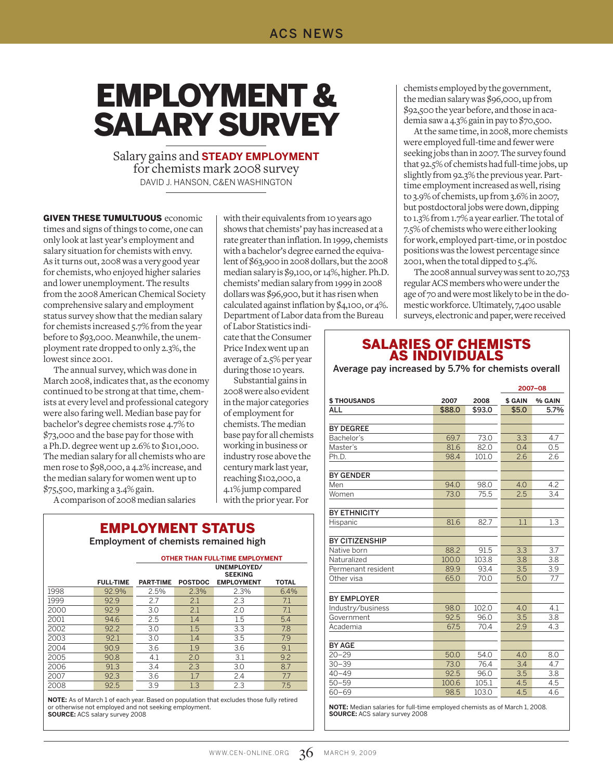# Employment & Salary Survey

Salary gains and **steady employment** for chemists mark 2008 survey David J. Hanson, C&EN Washington

**GIVEN THESE TUMULTUOUS economic** times and signs of things to come, one can only look at last year's employment and salary situation for chemists with envy. As it turns out, 2008 was a very good year for chemists, who enjoyed higher salaries and lower unemployment. The results from the 2008 American Chemical Society comprehensive salary and employment status survey show that the median salary for chemists increased 5.7% from the year before to \$93,000. Meanwhile, the unemployment rate dropped to only 2.3%, the lowest since 2001.

The annual survey, which was done in March 2008, indicates that, as the economy continued to be strong at that time, chemists at every level and professional category were also faring well. Median base pay for bachelor's degree chemists rose 4.7% to \$73,000 and the base pay for those with a Ph.D. degree went up 2.6% to \$101,000. The median salary for all chemists who are men rose to \$98,000, a 4.2% increase, and the median salary for women went up to \$75,500, marking a 3.4% gain.

A comparison of 2008 median salaries

| <b>EMPLOYMENT STATUS</b>             |
|--------------------------------------|
| Employment of chemists remained high |

|      |                  | <b>OTHER THAN FULL-TIME EMPLOYMENT</b> |                               |                   |              |  |  |  |  |
|------|------------------|----------------------------------------|-------------------------------|-------------------|--------------|--|--|--|--|
|      |                  |                                        | UNEMPLOYED/<br><b>SEEKING</b> |                   |              |  |  |  |  |
|      | <b>FULL-TIME</b> | <b>PART-TIME</b>                       | <b>POSTDOC</b>                | <b>EMPLOYMENT</b> | <b>TOTAL</b> |  |  |  |  |
| 1998 | 92.9%            | 2.5%                                   | 2.3%                          | 2.3%              | 6.4%         |  |  |  |  |
| 1999 | 92.9             | 2.7                                    | 2.1                           | 2.3               | 7.1          |  |  |  |  |
| 2000 | 92.9             | 3.0                                    | 2.1                           | 2.0               | 7.1          |  |  |  |  |
| 2001 | 94.6             | 2.5                                    | 1.4                           | 1.5               | 5.4          |  |  |  |  |
| 2002 | 92.2             | 3.0                                    | 1.5                           | 3.3               | 7.8          |  |  |  |  |
| 2003 | 92.1             | 3.0                                    | 1.4                           | 3.5               | 7.9          |  |  |  |  |
| 2004 | 90.9             | 3.6                                    | 1.9                           | 3.6               | 9.1          |  |  |  |  |
| 2005 | 90.8             | 4.1                                    | 2.0                           | 3.1               | 9.2          |  |  |  |  |
| 2006 | 91.3             | 3.4                                    | 2.3                           | 3.0               | 8.7          |  |  |  |  |
| 2007 | 92.3             | 3.6                                    | 1.7                           | 2.4               | 7.7          |  |  |  |  |
| 2008 | 92.5             | 3.9                                    | 1.3                           | 2.3               | 7.5          |  |  |  |  |

**NOTE:** As of March 1 of each year. Based on population that excludes those fully retired or otherwise not employed and not seeking employment. **Source:** ACS salary survey 2008

with their equivalents from 10 years ago shows that chemists' pay has increased at a rate greater than inflation. In 1999, chemists with a bachelor's degree earned the equivalent of \$63,900 in 2008 dollars, but the 2008 median salary is \$9,100, or 14%, higher. Ph.D. chemists' median salary from 1999 in 2008 dollars was \$96,900, but it has risen when calculated against inflation by \$4,100, or 4%. Department of Labor data from the Bureau

of Labor Statistics indicate that the Consumer Price Index went up an average of 2.5% per year during those 10 years.

Substantial gains in 2008 were also evident in the major categories of employment for chemists. The median base pay for all chemists working in business or industry rose above the century mark last year, reaching \$102,000, a 4.1% jump compared with the prior year. For

chemists employed by the government, the median salary was \$96,000, up from \$92,500 the year before, and those in academia saw a 4.3% gain in pay to \$70,500.

At the same time, in 2008, more chemists were employed full-time and fewer were seeking jobs than in 2007. The survey found that 92.5% of chemists had full-time jobs, up slightly from 92.3% the previous year. Parttime employment increased as well, rising to 3.9% of chemists, up from 3.6% in 2007, but postdoctoral jobs were down, dipping to 1.3% from 1.7% a year earlier. The total of 7.5% of chemists who were either looking for work, employed part-time, or in postdoc positions was the lowest percentage since 2001, when the total dipped to 5.4%.

The 2008 annual survey was sent to 20,753 regular ACS members who were under the age of 70 and were most likely to be in the domestic workforce. Ultimately, 7,400 usable surveys, electronic and paper, were received

#### Salaries Of Chemists As Individuals

Average pay increased by 5.7% for chemists overall

|                       |        |        | 2007-08 |        |  |
|-----------------------|--------|--------|---------|--------|--|
| <b>\$THOUSANDS</b>    | 2007   | 2008   | \$ GAIN | % GAIN |  |
| ALL                   | \$88.0 | \$93.0 | \$5.0   | 5.7%   |  |
|                       |        |        |         |        |  |
| <b>BY DEGREE</b>      |        |        |         |        |  |
| Bachelor's            | 69.7   | 73.0   | 3.3     | 4.7    |  |
| Master's              | 81.6   | 82.0   | 0.4     | 0.5    |  |
| Ph.D.                 | 98.4   | 101.0  | 2.6     | 2.6    |  |
|                       |        |        |         |        |  |
| <b>BY GENDER</b>      |        |        |         |        |  |
| Men                   | 94.0   | 98.0   | 4.0     | 4.2    |  |
| Women                 | 73.0   | 75.5   | 2.5     | 3.4    |  |
|                       |        |        |         |        |  |
| <b>BY ETHNICITY</b>   |        |        |         |        |  |
| Hispanic              | 81.6   | 82.7   | 1.1     | 1.3    |  |
|                       |        |        |         |        |  |
| <b>BY CITIZENSHIP</b> |        |        |         |        |  |
| Native born           | 88.2   | 91.5   | 3.3     | 3.7    |  |
| Naturalized           | 100.0  | 103.8  | 3.8     | 3.8    |  |
| Permenant resident    | 89.9   | 93.4   | 3.5     | 3.9    |  |
| Other visa            | 65.0   | 70.0   | 5.0     | 7.7    |  |
|                       |        |        |         |        |  |
| <b>BY EMPLOYER</b>    |        |        |         |        |  |
| Industry/business     | 98.0   | 102.0  | 4.0     | 4.1    |  |
| Government            | 92.5   | 96.0   | 3.5     | 3.8    |  |
| Academia              | 67.5   | 70.4   | 2.9     | 4.3    |  |
|                       |        |        |         |        |  |
| <b>BY AGE</b>         |        |        |         |        |  |
| $20 - 29$             | 50.0   | 54.0   | 4.0     | 8.0    |  |
| $30 - 39$             | 73.0   | 76.4   | 3.4     | 4.7    |  |
| $40 - 49$             | 92.5   | 96.0   | 3.5     | 3.8    |  |
| $50 - 59$             | 100.6  | 105.1  | 4.5     | 4.5    |  |
| $60 - 69$             | 98.5   | 103.0  | 4.5     | 4.6    |  |

**NOTE:** Median salaries for full-time employed chemists as of March 1, 2008. **Source:** ACS salary survey 2008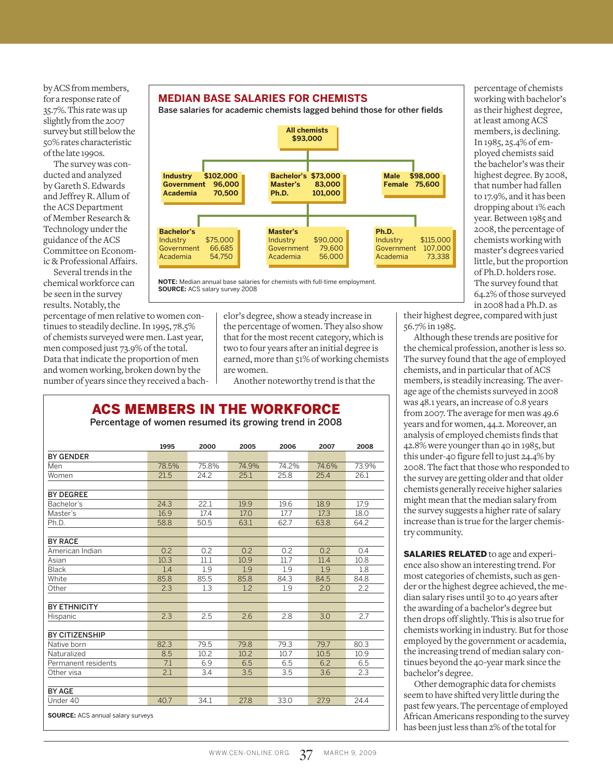by ACS from members, for a response rate of 35.7%. This rate was up slightly from the 2007 survey but still below the 50% rates characteristic of the late 1990s.

The survey was conducted and analyzed by Gareth S. Edwards and Jeffrey R. Allum of the ACS Department of Member Research & Technology under the guidance of the ACS Committee on Economic & Professional Affairs.

Several trends in the chemical workforce can be seen in the survey results. Notably, the

percentage of men relative to women continues to steadily decline. In 1995, 78.5% of chemists surveyed were men. Last year, men composed just 73.9% of the total. Data that indicate the proportion of men and women working, broken down by the number of years since they received a bach-



Base salaries for academic chemists lagged behind those for other fields





elor's degree, show a steady increase in the percentage of women. They also show that for the most recent category, which is two to four years after an initial degree is earned, more than 51% of working chemists are women.

Another noteworthy trend is that the

# ACS Members In The Workforce

Percentage of women resumed its growing trend in 2008

|                       | 1995  | 2000  | 2005  | 2006  | 2007  | 2008  |
|-----------------------|-------|-------|-------|-------|-------|-------|
| <b>BY GENDER</b>      |       |       |       |       |       |       |
| Men                   | 78.5% | 75.8% | 74.9% | 74.2% | 74.6% | 73.9% |
| Women                 | 21.5  | 24.2  | 25.1  | 25.8  | 25.4  | 26.1  |
|                       |       |       |       |       |       |       |
| <b>BY DEGREE</b>      |       |       |       |       |       |       |
| Bachelor's            | 24.3  | 22.1  | 19.9  | 19.6  | 18.9  | 17.9  |
| Master's              | 16.9  | 17.4  | 17.0  | 17.7  | 17.3  | 18.0  |
| Ph.D.                 | 58.8  | 50.5  | 63.1  | 62.7  | 63.8  | 64.2  |
|                       |       |       |       |       |       |       |
| <b>BY RACE</b>        |       |       |       |       |       |       |
| American Indian       | 0.2   | 0.2   | 0.2   | 0.2   | 0.2   | 0.4   |
| Asian                 | 10.3  | 11.1  | 10.9  | 11.7  | 11.4  | 10.8  |
| <b>Black</b>          | 1.4   | 1.9   | 1.9   | 1.9   | 1.9   | 1.8   |
| White                 | 85.8  | 85.5  | 85.8  | 84.3  | 84.5  | 84.8  |
| Other                 | 2.3   | 1.3   | 1.2   | 1.9   | 2.0   | 2.2   |
| <b>BY ETHNICITY</b>   |       |       |       |       |       |       |
|                       |       |       |       |       |       |       |
| Hispanic              | 2.3   | 2.5   | 2.6   | 2.8   | 3.0   | 2.7   |
| <b>BY CITIZENSHIP</b> |       |       |       |       |       |       |
| Native born           | 82.3  | 79.5  | 79.8  | 79.3  | 79.7  | 80.3  |
| Naturalized           | 8.5   | 10.2  | 10.2  | 10.7  | 10.5  | 10.9  |
| Permanent residents   | 7.1   | 6.9   | 6.5   | 6.5   | 6.2   | 6.5   |
| Other visa            | 2.1   | 3.4   | 3.5   | 3.5   | 3.6   | 2.3   |
|                       |       |       |       |       |       |       |
| <b>BY AGE</b>         |       |       |       |       |       |       |
| Under 40              | 40.7  | 34.1  | 27.8  | 33.0  | 27.9  | 24.4  |

percentage of chemists working with bachelor's as their highest degree, at least among ACS members, is declining. In 1985, 25.4% of employed chemists said the bachelor's was their highest degree. By 2008, that number had fallen to 17.9%, and it has been dropping about 1% each year. Between 1985 and 2008, the percentage of chemists working with master's degrees varied little, but the proportion of Ph.D. holders rose. The survey found that 64.2% of those surveyed in 2008 had a Ph.D. as

their highest degree, compared with just 56.7% in 1985.

Although these trends are positive for the chemical profession, another is less so. The survey found that the age of employed chemists, and in particular that of ACS members, is steadily increasing. The average age of the chemists surveyed in 2008 was 48.1 years, an increase of 0.8 years from 2007. The average for men was 49.6 years and for women, 44.2. Moreover, an analysis of employed chemists finds that 42.8% were younger than 40 in 1985, but this under-40 figure fell to just 24.4% by 2008. The fact that those who responded to the survey are getting older and that older chemists generally receive higher salaries might mean that the median salary from the survey suggests a higher rate of salary increase than is true for the larger chemistry community.

**SALARIES RELATED** to age and experience also show an interesting trend. For most categories of chemists, such as gender or the highest degree achieved, the median salary rises until 30 to 40 years after the awarding of a bachelor's degree but then drops off slightly. This is also true for chemists working in industry. But for those employed by the government or academia, the increasing trend of median salary continues beyond the 40-year mark since the bachelor's degree.

Other demographic data for chemists seem to have shifted very little during the past few years. The percentage of employed African Americans responding to the survey has been just less than 2% of the total for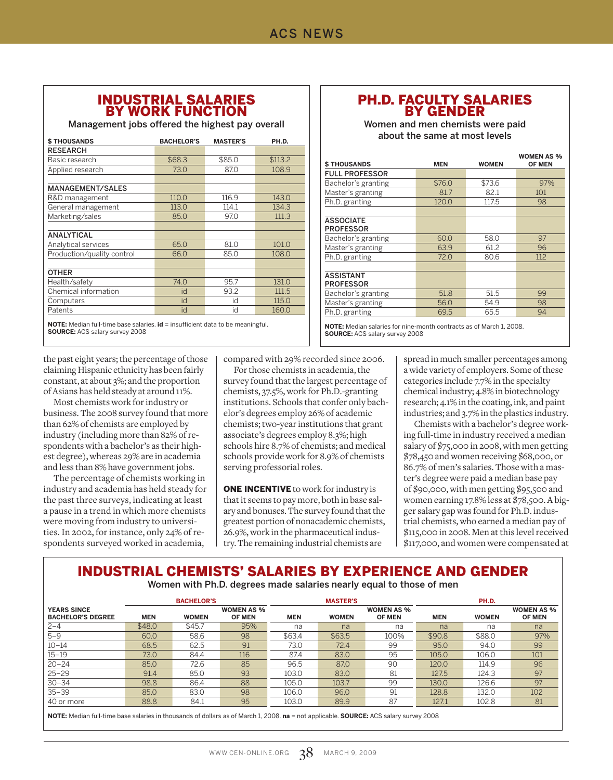#### Industrial Salaries By Work Function

Management jobs offered the highest pay overall

| <b>\$THOUSANDS</b>         | <b>BACHELOR'S</b> | <b>MASTER'S</b> | PH.D.   |
|----------------------------|-------------------|-----------------|---------|
| <b>RESEARCH</b>            |                   |                 |         |
| Basic research             | \$68.3            | \$85.0          | \$113.2 |
| Applied research           | 73.0              | 87.0            | 108.9   |
|                            |                   |                 |         |
| <b>MANAGEMENT/SALES</b>    |                   |                 |         |
| R&D management             | 110.0             | 116.9           | 143.0   |
| General management         | 113.0             | 114.1           | 134.3   |
| Marketing/sales            | 85.0              | 97.0            | 111.3   |
|                            |                   |                 |         |
| <b>ANALYTICAL</b>          |                   |                 |         |
| Analytical services        | 65.0              | 81.0            | 101.0   |
| Production/quality control | 66.0              | 85.0            | 108.0   |
|                            |                   |                 |         |
| <b>OTHER</b>               |                   |                 |         |
| Health/safety              | 74.0              | 95.7            | 131.0   |
| Chemical information       | id                | 93.2            | 111.5   |
| Computers                  | id                | id              | 115.0   |
| Patents                    | id                | id              | 160.0   |
|                            |                   |                 |         |

**NOTE:** Median full-time base salaries. **id** = insufficient data to be meaningful. **Source:** ACS salary survey 2008

the past eight years; the percentage of those claiming Hispanic ethnicity has been fairly constant, at about 3%; and the proportion of Asians has held steady at around 11%.

Most chemists work for industry or business. The 2008 survey found that more than 62% of chemists are employed by industry (including more than 82% of respondents with a bachelor's as their highest degree), whereas 29% are in academia and less than 8% have government jobs.

The percentage of chemists working in industry and academia has held steady for the past three surveys, indicating at least a pause in a trend in which more chemists were moving from industry to universities. In 2002, for instance, only 24% of respondents surveyed worked in academia,

compared with 29% recorded since 2006.

For those chemists in academia, the survey found that the largest percentage of chemists, 37.5%, work for Ph.D.-granting institutions. Schools that confer only bachelor's degrees employ 26% of academic chemists; two-year institutions that grant associate's degrees employ 8.3%; high schools hire 8.7% of chemists; and medical schools provide work for 8.9% of chemists serving professorial roles.

**ONE INCENTIVE** to work for industry is that it seems to pay more, both in base salary and bonuses. The survey found that the greatest portion of nonacademic chemists, 26.9%, work in the pharmaceutical industry. The remaining industrial chemists are

#### PH.D. FACULTY SALARIES By Gender

Women and men chemists were paid about the same at most levels

|                                      |            |              | <b>WOMEN AS %</b> |
|--------------------------------------|------------|--------------|-------------------|
| <b>\$ THOUSANDS</b>                  | <b>MEN</b> | <b>WOMEN</b> | <b>OF MEN</b>     |
| <b>FULL PROFESSOR</b>                |            |              |                   |
| Bachelor's granting                  | \$76.0     | \$73.6       | 97%               |
| Master's granting                    | 81.7       | 82.1         | 101               |
| Ph.D. granting                       | 120.0      | 117.5        | 98                |
|                                      |            |              |                   |
| <b>ASSOCIATE</b><br><b>PROFESSOR</b> |            |              |                   |
| Bachelor's granting                  | 60.0       | 58.0         | 97                |
| Master's granting                    | 63.9       | 61.2         | 96                |
| Ph.D. granting                       | 72.0       | 80.6         | 112               |
|                                      |            |              |                   |
| <b>ASSISTANT</b><br><b>PROFESSOR</b> |            |              |                   |
| Bachelor's granting                  | 51.8       | 51.5         | 99                |
| Master's granting                    | 56.0       | 54.9         | 98                |
| Ph.D. granting                       | 69.5       | 65.5         | 94                |

**NOTE:** Median salaries for nine-month contracts as of March 1, 2008. **Source:** ACS salary survey 2008

> spread in much smaller percentages among a wide variety of employers. Some of these categories include 7.7% in the specialty chemical industry; 4.8% in biotechnology research; 4.1% in the coating, ink, and paint industries; and 3.7% in the plastics industry.

> Chemists with a bachelor's degree working full-time in industry received a median salary of \$75,000 in 2008, with men getting \$78,450 and women receiving \$68,000, or 86.7% of men's salaries. Those with a master's degree were paid a median base pay of \$90,000, with men getting \$95,500 and women earning 17.8% less at \$78,500. A bigger salary gap was found for Ph.D. industrial chemists, who earned a median pay of \$115,000 in 2008. Men at this level received \$117,000, and women were compensated at

# Industrial Chemists' Salaries By Experience And Gender

Women with Ph.D. degrees made salaries nearly equal to those of men

|                                                |            | <b>BACHELOR'S</b> |                                    |            | <b>MASTER'S</b> |                                    |            | PH.D.        |                                    |
|------------------------------------------------|------------|-------------------|------------------------------------|------------|-----------------|------------------------------------|------------|--------------|------------------------------------|
| <b>YEARS SINCE</b><br><b>BACHELOR'S DEGREE</b> | <b>MEN</b> | <b>WOMEN</b>      | <b>WOMEN AS %</b><br><b>OF MEN</b> | <b>MEN</b> | <b>WOMEN</b>    | <b>WOMEN AS %</b><br><b>OF MEN</b> | <b>MEN</b> | <b>WOMEN</b> | <b>WOMEN AS %</b><br><b>OF MEN</b> |
| $2 - 4$                                        | \$48.0     | \$45.7            | 95%                                | na         | na              | na                                 | na         | na           | na                                 |
| $5 - 9$                                        | 60.0       | 58.6              | 98                                 | \$63.4     | \$63.5          | 100%                               | \$90.8     | \$88.0       | 97%                                |
| $10 - 14$                                      | 68.5       | 62.5              | 91                                 | 73.0       | 72.4            | 99                                 | 95.0       | 94.0         | 99                                 |
| $15 - 19$                                      | 73.0       | 84.4              | 116                                | 87.4       | 83.0            | 95                                 | 105.0      | 106.0        | 101                                |
| $20 - 24$                                      | 85.0       | 72.6              | 85                                 | 96.5       | 87.0            | 90                                 | 120.0      | 114.9        | 96                                 |
| $25 - 29$                                      | 91.4       | 85.0              | 93                                 | 103.0      | 83.0            | 81                                 | 127.5      | 124.3        | 97                                 |
| $30 - 34$                                      | 98.8       | 86.4              | 88                                 | 105.0      | 103.7           | 99                                 | 130.0      | 126.6        | 97                                 |
| $35 - 39$                                      | 85.0       | 83.0              | 98                                 | 106.0      | 96.0            | 91                                 | 128.8      | 132.0        | 102                                |
| 40 or more                                     | 88.8       | 84.1              | 95                                 | 103.0      | 89.9            | 87                                 | 127.1      | 102.8        | 81                                 |
|                                                |            |                   |                                    |            |                 |                                    |            |              |                                    |

**Note:** Median full-time base salaries in thousands of dollars as of March 1, 2008. **na** = not applicable. **Source:** ACS salary survey 2008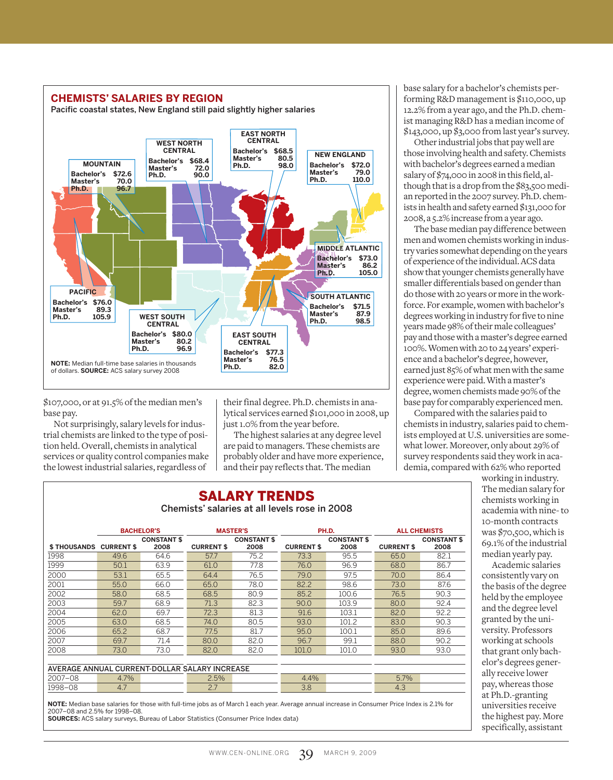

\$107,000, or at 91.5% of the median men's base pay.

Not surprisingly, salary levels for industrial chemists are linked to the type of position held. Overall, chemists in analytical services or quality control companies make the lowest industrial salaries, regardless of

their final degree. Ph.D. chemists in analytical services earned \$101,000 in 2008, up just 1.0% from the year before.

The highest salaries at any degree level are paid to managers. These chemists are probably older and have more experience, and their pay reflects that. The median

#### Salary Trends Chemists' salaries at all levels rose in 2008

|                                               |                   | <b>BACHELOR'S</b>  |                   | <b>MASTER'S</b>    |                   | PH.D.              |                   | <b>ALL CHEMISTS</b> |  |
|-----------------------------------------------|-------------------|--------------------|-------------------|--------------------|-------------------|--------------------|-------------------|---------------------|--|
|                                               |                   | <b>CONSTANT \$</b> |                   | <b>CONSTANT \$</b> |                   | <b>CONSTANT \$</b> |                   | <b>CONSTANT \$</b>  |  |
| <b>\$THOUSANDS</b>                            | <b>CURRENT \$</b> | 2008               | <b>CURRENT \$</b> | 2008               | <b>CURRENT \$</b> | 2008               | <b>CURRENT \$</b> | 2008                |  |
| 1998                                          | 49.6              | 64.6               | 57.7              | 75.2               | 73.3              | 95.5               | 65.0              | 82.1                |  |
| 1999                                          | 50.1              | 63.9               | 61.0              | 77.8               | 76.0              | 96.9               | 68.0              | 86.7                |  |
| 2000                                          | 53.1              | 65.5               | 64.4              | 76.5               | 79.0              | 97.5               | 70.0              | 86.4                |  |
| 2001                                          | 55.0              | 66.0               | 65.0              | 78.0               | 82.2              | 98.6               | 73.0              | 87.6                |  |
| 2002                                          | 58.0              | 68.5               | 68.5              | 80.9               | 85.2              | 100.6              | 76.5              | 90.3                |  |
| 2003                                          | 59.7              | 68.9               | 71.3              | 82.3               | 90.0              | 103.9              | 80.0              | 92.4                |  |
| 2004                                          | 62.0              | 69.7               | 72.3              | 81.3               | 91.6              | 103.1              | 82.0              | 92.2                |  |
| 2005                                          | 63.0              | 68.5               | 74.0              | 80.5               | 93.0              | 101.2              | 83.0              | 90.3                |  |
| 2006                                          | 65.2              | 68.7               | 77.5              | 81.7               | 95.0              | 100.1              | 85.0              | 89.6                |  |
| 2007                                          | 69.7              | 71.4               | 80.0              | 82.0               | 96.7              | 99.1               | 88.0              | 90.2                |  |
| 2008                                          | 73.0              | 73.0               | 82.0              | 82.0               | 101.0             | 101.0              | 93.0              | 93.0                |  |
|                                               |                   |                    |                   |                    |                   |                    |                   |                     |  |
| AVERAGE ANNUAL CURRENT-DOLLAR SALARY INCREASE |                   |                    |                   |                    |                   |                    |                   |                     |  |
| 2007-08                                       | 4.7%              |                    | 2.5%              |                    | 4.4%              |                    | 5.7%              |                     |  |
| 1998-08                                       | 4.7               |                    | 2.7               |                    | 3.8               |                    | 4.3               |                     |  |

**Sources:** ACS salary surveys, Bureau of Labor Statistics (Consumer Price Index data)

base salary for a bachelor's chemists performing R&D management is \$110,000, up 12.2% from a year ago, and the Ph.D. chemist managing R&D has a median income of \$143,000, up \$3,000 from last year's survey.

Other industrial jobs that pay well are those involving health and safety. Chemists with bachelor's degrees earned a median salary of \$74,000 in 2008 in this field, although that is a drop from the \$83,500 median reported in the 2007 survey. Ph.D. chemists in health and safety earned \$131,000 for 2008, a 5.2% increase from a year ago.

The base median pay difference between men and women chemists working in industry varies somewhat depending on the years of experience of the individual. ACS data show that younger chemists generally have smaller differentials based on gender than do those with 20 years or more in the workforce. For example, women with bachelor's degrees working in industry for five to nine years made 98% of their male colleagues' pay and those with a master's degree earned 100%. Women with 20 to 24 years' experience and a bachelor's degree, however, earned just 85% of what men with the same experience were paid. With a master's degree, women chemists made 90% of the base pay for comparably experienced men.

Compared with the salaries paid to chemists in industry, salaries paid to chemists employed at U.S. universities are somewhat lower. Moreover, only about 29% of survey respondents said they work in academia, compared with 62% who reported

> working in industry. The median salary for chemists working in academia with nine- to 10-month contracts was \$70,500, which is 69.1% of the industrial median yearly pay.

Academic salaries consistently vary on the basis of the degree held by the employee and the degree level granted by the university. Professors working at schools that grant only bachelor's degrees generally receive lower pay, whereas those at Ph.D.-granting universities receive the highest pay. More specifically, assistant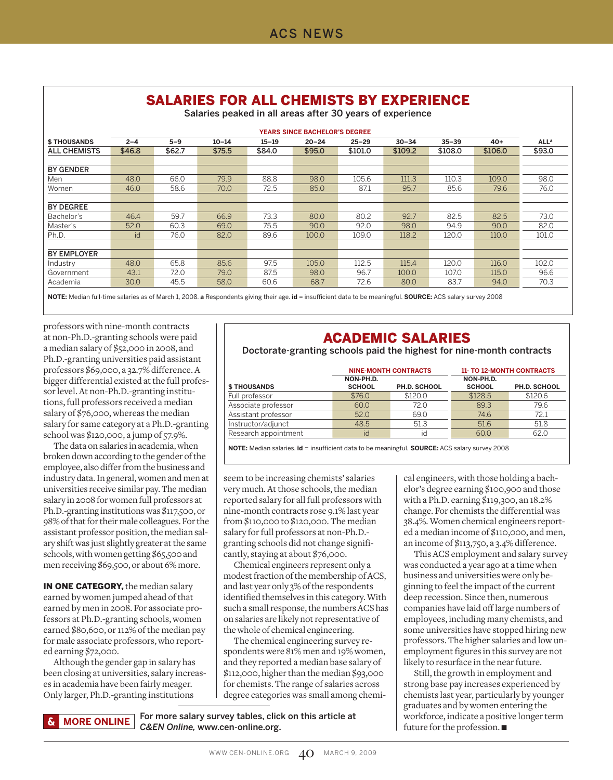# Salaries For All Chemists By Experience

Salaries peaked in all areas after 30 years of experience

|                     | <b>YEARS SINCE BACHELOR'S DEGREE</b> |         |           |           |           |           |           |           |         |                  |
|---------------------|--------------------------------------|---------|-----------|-----------|-----------|-----------|-----------|-----------|---------|------------------|
| <b>\$THOUSANDS</b>  | $2 - 4$                              | $5 - 9$ | $10 - 14$ | $15 - 19$ | $20 - 24$ | $25 - 29$ | $30 - 34$ | $35 - 39$ | $40+$   | ALL <sup>a</sup> |
| <b>ALL CHEMISTS</b> | \$46.8                               | \$62.7  | \$75.5    | \$84.0    | \$95.0    | \$101.0   | \$109.2   | \$108.0   | \$106.0 | \$93.0           |
|                     |                                      |         |           |           |           |           |           |           |         |                  |
| <b>BY GENDER</b>    |                                      |         |           |           |           |           |           |           |         |                  |
| Men                 | 48.0                                 | 66.0    | 79.9      | 88.8      | 98.0      | 105.6     | 111.3     | 110.3     | 109.0   | 98.0             |
| Women               | 46.0                                 | 58.6    | 70.0      | 72.5      | 85.0      | 87.1      | 95.7      | 85.6      | 79.6    | 76.0             |
|                     |                                      |         |           |           |           |           |           |           |         |                  |
| <b>BY DEGREE</b>    |                                      |         |           |           |           |           |           |           |         |                  |
| Bachelor's          | 46.4                                 | 59.7    | 66.9      | 73.3      | 80.0      | 80.2      | 92.7      | 82.5      | 82.5    | 73.0             |
| Master's            | 52.0                                 | 60.3    | 69.0      | 75.5      | 90.0      | 92.0      | 98.0      | 94.9      | 90.0    | 82.0             |
| Ph.D.               | id                                   | 76.0    | 82.0      | 89.6      | 100.0     | 109.0     | 118.2     | 120.0     | 110.0   | 101.0            |
|                     |                                      |         |           |           |           |           |           |           |         |                  |
| <b>BY EMPLOYER</b>  |                                      |         |           |           |           |           |           |           |         |                  |
| Industry            | 48.0                                 | 65.8    | 85.6      | 97.5      | 105.0     | 112.5     | 115.4     | 120.0     | 116.0   | 102.0            |
| Government          | 43.1                                 | 72.0    | 79.0      | 87.5      | 98.0      | 96.7      | 100.0     | 107.0     | 115.0   | 96.6             |
| Academia            | 30.0                                 | 45.5    | 58.0      | 60.6      | 68.7      | 72.6      | 80.0      | 83.7      | 94.0    | 70.3             |

**Note:** Median full-time salaries as of March 1, 2008. **a** Respondents giving their age. **id** = insufficient data to be meaningful. **Source:** ACS salary survey 2008

professors with nine-month contracts at non-Ph.D.-granting schools were paid a median salary of \$52,000 in 2008, and Ph.D.-granting universities paid assistant professors \$69,000, a 32.7% difference. A bigger differential existed at the full professor level. At non-Ph.D.-granting institutions, full professors received a median salary of \$76,000, whereas the median salary for same category at a Ph.D.-granting school was \$120,000, a jump of 57.9%.

The data on salaries in academia, when broken down according to the gender of the employee, also differ from the business and industry data. In general, women and men at universities receive similar pay. The median salary in 2008 for women full professors at Ph.D.-granting institutions was \$117,500, or 98% of that for their male colleagues. For the assistant professor position, the median salary shift was just slightly greater at the same schools, with women getting \$65,500 and men receiving \$69,500, or about 6% more.

IN ONE CATEGORY, the median salary earned by women jumped ahead of that earned by men in 2008. For associate professors at Ph.D.-granting schools, women earned \$80,600, or 112% of the median pay for male associate professors, who reported earning \$72,000.

Although the gender gap in salary has been closing at universities, salary increases in academia have been fairly meager. Only larger, Ph.D.-granting institutions

#### Academic Salaries

Doctorate-granting schools paid the highest for nine-month contracts

|                      | <b>NINE-MONTH CONTRACTS</b> |              | <b>11- TO 12-MONTH CONTRACTS</b> |              |  |
|----------------------|-----------------------------|--------------|----------------------------------|--------------|--|
| <b>\$THOUSANDS</b>   | NON-PH.D.<br><b>SCHOOL</b>  | PH.D. SCHOOL | NON-PH.D.<br><b>SCHOOL</b>       | PH.D. SCHOOL |  |
| Full professor       | \$76.0                      | \$120.0      | \$128.5                          | \$120.6      |  |
| Associate professor  | 60.0                        | 72.0         | 89.3                             | 79.6         |  |
| Assistant professor  | 52.0                        | 69.0         | 74.6                             | 72.1         |  |
| Instructor/adjunct   | 48.5                        | 51.3         | 51.6                             | 51.8         |  |
| Research appointment | id                          | id           | 60.0                             | 62.0         |  |

**NOTE:** Median salaries. **id** = insufficient data to be meaningful. **SOURCE:** ACS salary survey 2008

seem to be increasing chemists' salaries very much. At those schools, the median reported salary for all full professors with nine-month contracts rose 9.1% last year from \$110,000 to \$120,000. The median salary for full professors at non-Ph.D. granting schools did not change significantly, staying at about \$76,000.

Chemical engineers represent only a modest fraction of the membership of ACS, and last year only 3% of the respondents identified themselves in this category. With such a small response, the numbers ACS has on salaries are likely not representative of the whole of chemical engineering.

The chemical engineering survey respondents were 81% men and 19% women, and they reported a median base salary of \$112,000, higher than the median \$93,000 for chemists. The range of salaries across degree categories was small among chemical engineers, with those holding a bachelor's degree earning \$100,900 and those with a Ph.D. earning \$119,300, an 18.2% change. For chemists the differential was 38.4%. Women chemical engineers reported a median income of \$110,000, and men, an income of \$113,750, a 3.4% difference.

This ACS employment and salary survey was conducted a year ago at a time when business and universities were only beginning to feel the impact of the current deep recession. Since then, numerous companies have laid off large numbers of employees, including many chemists, and some universities have stopped hiring new professors. The higher salaries and low unemployment figures in this survey are not likely to resurface in the near future.

Still, the growth in employment and strong base pay increases experienced by chemists last year, particularly by younger graduates and by women entering the workforce, indicate a positive longer term future for the profession. ■

For more salary survey tables, click on this article at *C&EN Online,* www.cen-online.org. **more online**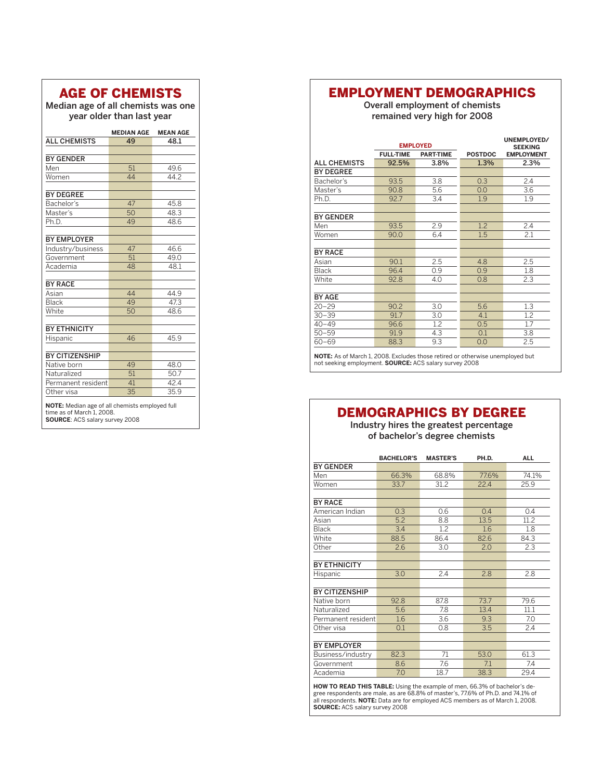# Age Of Chemists

Median age of all chemists was one year older than last year

|                                                                                                                      | <b>MEDIAN AGE</b> | <b>MEAN AGE</b> |  |  |  |  |  |
|----------------------------------------------------------------------------------------------------------------------|-------------------|-----------------|--|--|--|--|--|
| <b>ALL CHEMISTS</b>                                                                                                  | 49                | 48.1            |  |  |  |  |  |
|                                                                                                                      |                   |                 |  |  |  |  |  |
| <b>BY GENDER</b>                                                                                                     |                   |                 |  |  |  |  |  |
| Men                                                                                                                  | 51                | 49.6            |  |  |  |  |  |
| Women                                                                                                                | 44                | 44.2            |  |  |  |  |  |
|                                                                                                                      |                   |                 |  |  |  |  |  |
| <b>BY DEGREE</b>                                                                                                     |                   |                 |  |  |  |  |  |
| Bachelor's                                                                                                           | 47                | 45.8            |  |  |  |  |  |
| Master's                                                                                                             | 50                | 48.3            |  |  |  |  |  |
| Ph.D.                                                                                                                | 49                | 48.6            |  |  |  |  |  |
| <b>BY EMPLOYER</b>                                                                                                   |                   |                 |  |  |  |  |  |
| Industry/business                                                                                                    | 47                | 46.6            |  |  |  |  |  |
| Government                                                                                                           | 51                | 49.0            |  |  |  |  |  |
| Academia                                                                                                             | 48                | 48.1            |  |  |  |  |  |
|                                                                                                                      |                   |                 |  |  |  |  |  |
| <b>BY RACE</b>                                                                                                       |                   |                 |  |  |  |  |  |
| Asian                                                                                                                | 44                | 44.9            |  |  |  |  |  |
| Black                                                                                                                | 49                | 47.3            |  |  |  |  |  |
| White                                                                                                                | 50                | 48.6            |  |  |  |  |  |
| <b>BY ETHNICITY</b>                                                                                                  |                   |                 |  |  |  |  |  |
| Hispanic                                                                                                             | 46                | 45.9            |  |  |  |  |  |
|                                                                                                                      |                   |                 |  |  |  |  |  |
| <b>BY CITIZENSHIP</b>                                                                                                |                   |                 |  |  |  |  |  |
| Native born                                                                                                          | 49                | 48.0            |  |  |  |  |  |
| Naturalized                                                                                                          | 51                | 50.7            |  |  |  |  |  |
| Permanent resident                                                                                                   | 41                | 42.4            |  |  |  |  |  |
| Other visa                                                                                                           | 35                | 35.9            |  |  |  |  |  |
| NOTE: Median age of all chemists employed full<br>time as of March 1, 2008.<br><b>SOURCE: ACS salary survey 2008</b> |                   |                 |  |  |  |  |  |

#### Employment Demographics

Overall employment of chemists remained very high for 2008

|                     |                  | <b>EMPLOYED</b>  |                | UNEMPLOYED/<br><b>SEEKING</b> |
|---------------------|------------------|------------------|----------------|-------------------------------|
|                     | <b>FULL-TIME</b> | <b>PART-TIME</b> | <b>POSTDOC</b> | <b>EMPLOYMENT</b>             |
| <b>ALL CHEMISTS</b> | 92.5%            | 3.8%             | 1.3%           | 2.3%                          |
| <b>BY DEGREE</b>    |                  |                  |                |                               |
| Bachelor's          | 93.5             | 3.8              | 0.3            | 2.4                           |
| Master's            | 90.8             | 5.6              | 0.0            | 3.6                           |
| Ph.D.               | 92.7             | 3.4              | 1.9            | 1.9                           |
|                     |                  |                  |                |                               |
| <b>BY GENDER</b>    |                  |                  |                |                               |
| Men                 | 93.5             | 2.9              | 1.2            | 2.4                           |
| Women               | 90.0             | 6.4              | 1.5            | 2.1                           |
|                     |                  |                  |                |                               |
| <b>BY RACE</b>      |                  |                  |                |                               |
| Asian               | 90.1             | 2.5              | 4.8            | 2.5                           |
| <b>Black</b>        | 96.4             | 0.9              | 0.9            | 1.8                           |
| White               | 92.8             | 4.0              | 0.8            | 2.3                           |
|                     |                  |                  |                |                               |
| <b>BY AGE</b>       |                  |                  |                |                               |
| $20 - 29$           | 90.2             | 3.0              | 5.6            | 1.3                           |
| $30 - 39$           | 91.7             | 3.0              | 4.1            | 1.2                           |
| $40 - 49$           | 96.6             | 1.2              | 0.5            | 1.7                           |
| $50 - 59$           | 91.9             | 4.3              | 0.1            | 3.8                           |
| $60 - 69$           | 88.3             | 9.3              | 0.0            | 2.5                           |
|                     |                  |                  |                | .                             |

NOTE: As of March 1, 2008. Excludes those retired or otherwise unemployed but not seeking employment. **Source:** ACS salary survey 2008

### Demographics By Degree

Industry hires the greatest percentage of bachelor's degree chemists

|                       | <b>BACHELOR'S</b> | <b>MASTER'S</b> | PH.D. | <b>ALL</b> |
|-----------------------|-------------------|-----------------|-------|------------|
| <b>BY GENDER</b>      |                   |                 |       |            |
| Men                   | 66.3%             | 68.8%           | 77.6% | 74.1%      |
| Women                 | 33.7              | 31.2            | 22.4  | 25.9       |
|                       |                   |                 |       |            |
| <b>BY RACE</b>        |                   |                 |       |            |
| American Indian       | 0.3               | 0.6             | 0.4   | 0.4        |
| Asian                 | 5.2               | 8.8             | 13.5  | 11.2       |
| <b>Black</b>          | 3.4               | 1.2             | 1.6   | 1.8        |
| White                 | 88.5              | 86.4            | 82.6  | 84.3       |
| Other                 | 2.6               | 3.0             | 2.0   | 2.3        |
|                       |                   |                 |       |            |
| <b>BY ETHNICITY</b>   |                   |                 |       |            |
| Hispanic              | 3.0               | 2.4             | 2.8   | 2.8        |
|                       |                   |                 |       |            |
| <b>BY CITIZENSHIP</b> |                   |                 |       |            |
| Native born           | 92.8              | 87.8            | 73.7  | 79.6       |
| Naturalized           | 5.6               | 7.8             | 13.4  | 11.1       |
| Permanent resident    | 1.6               | 3.6             | 9.3   | 7.0        |
| Other visa            | 0.1               | 0.8             | 3.5   | 2.4        |
|                       |                   |                 |       |            |
| <b>BY EMPLOYER</b>    |                   |                 |       |            |
| Business/industry     | 82.3              | 71              | 53.0  | 61.3       |
| Government            | 8.6               | 7.6             | 7.1   | 7.4        |
| Academia              | 7.0               | 18.7            | 38.3  | 29.4       |

**HOW TO READ THIS TABLE:** Using the example of men, 66.3% of bachelor's degree respondents are male, as are 68.8% of master's, 77.6% of Ph.D. and 74.1% of all respondents. **Note:** Data are for employed ACS members as of March 1, 2008. **Source:** ACS salary survey 2008